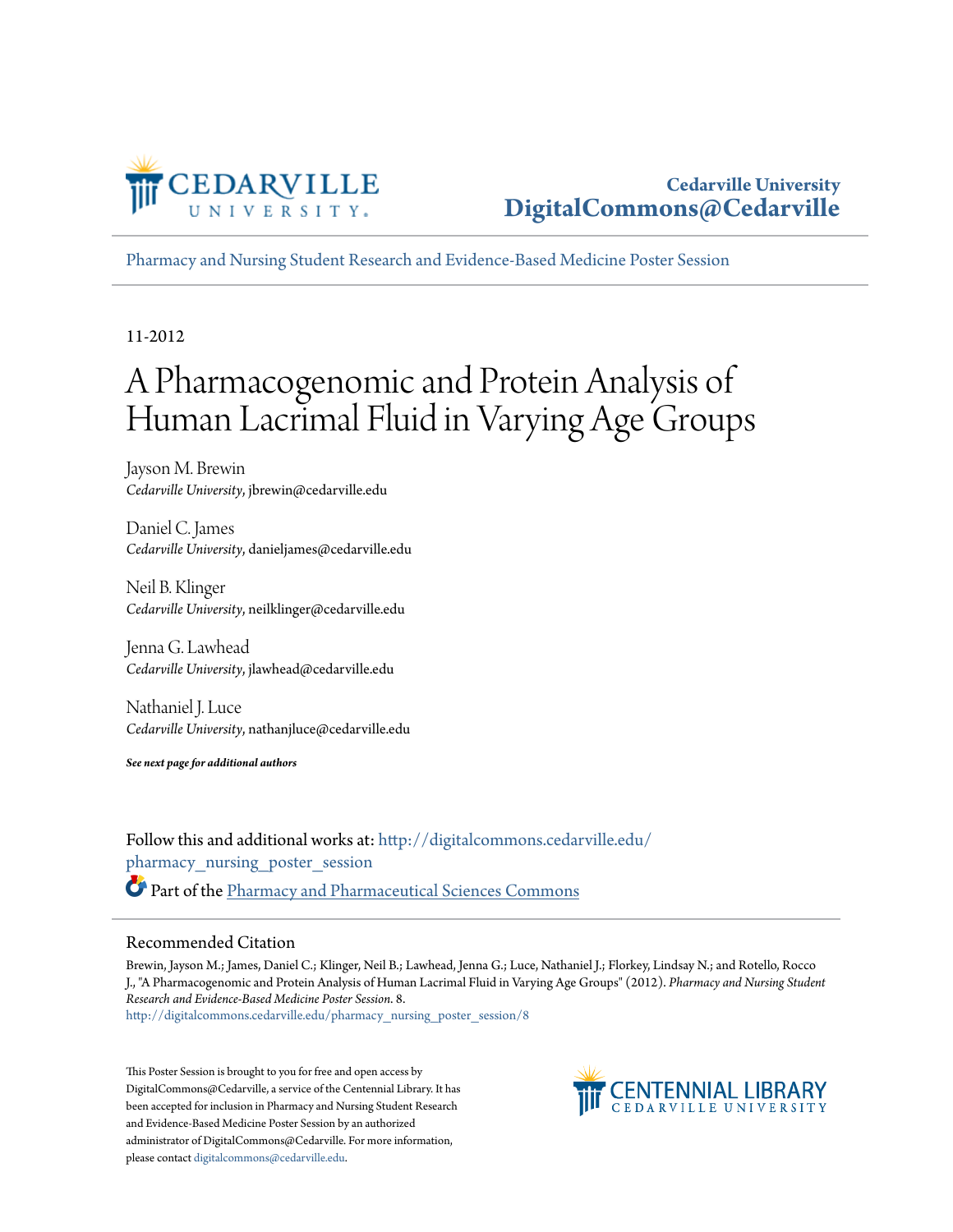

[Pharmacy and Nursing Student Research and Evidence-Based Medicine Poster Session](http://digitalcommons.cedarville.edu/pharmacy_nursing_poster_session?utm_source=digitalcommons.cedarville.edu%2Fpharmacy_nursing_poster_session%2F8&utm_medium=PDF&utm_campaign=PDFCoverPages)

11-2012

#### A Pharmacogenomic and Protein Analysis of Human Lacrimal Fluid in Varying Age Groups

Jayson M. Brewin *Cedarville University*, jbrewin@cedarville.edu

Daniel C. James *Cedarville University*, danieljames@cedarville.edu

Neil B. Klinger *Cedarville University*, neilklinger@cedarville.edu

Jenna G. Lawhead *Cedarville University*, jlawhead@cedarville.edu

Nathaniel J. Luce *Cedarville University*, nathanjluce@cedarville.edu

*See next page for additional authors*

Follow this and additional works at: [http://digitalcommons.cedarville.edu/](http://digitalcommons.cedarville.edu/pharmacy_nursing_poster_session?utm_source=digitalcommons.cedarville.edu%2Fpharmacy_nursing_poster_session%2F8&utm_medium=PDF&utm_campaign=PDFCoverPages) [pharmacy\\_nursing\\_poster\\_session](http://digitalcommons.cedarville.edu/pharmacy_nursing_poster_session?utm_source=digitalcommons.cedarville.edu%2Fpharmacy_nursing_poster_session%2F8&utm_medium=PDF&utm_campaign=PDFCoverPages) Part of the [Pharmacy and Pharmaceutical Sciences Commons](http://network.bepress.com/hgg/discipline/731?utm_source=digitalcommons.cedarville.edu%2Fpharmacy_nursing_poster_session%2F8&utm_medium=PDF&utm_campaign=PDFCoverPages)

#### Recommended Citation

Brewin, Jayson M.; James, Daniel C.; Klinger, Neil B.; Lawhead, Jenna G.; Luce, Nathaniel J.; Florkey, Lindsay N.; and Rotello, Rocco J., "A Pharmacogenomic and Protein Analysis of Human Lacrimal Fluid in Varying Age Groups" (2012). *Pharmacy and Nursing Student Research and Evidence-Based Medicine Poster Session*. 8.

[http://digitalcommons.cedarville.edu/pharmacy\\_nursing\\_poster\\_session/8](http://digitalcommons.cedarville.edu/pharmacy_nursing_poster_session/8?utm_source=digitalcommons.cedarville.edu%2Fpharmacy_nursing_poster_session%2F8&utm_medium=PDF&utm_campaign=PDFCoverPages)

This Poster Session is brought to you for free and open access by DigitalCommons@Cedarville, a service of the Centennial Library. It has been accepted for inclusion in Pharmacy and Nursing Student Research and Evidence-Based Medicine Poster Session by an authorized administrator of DigitalCommons@Cedarville. For more information, please contact [digitalcommons@cedarville.edu.](mailto:digitalcommons@cedarville.edu)

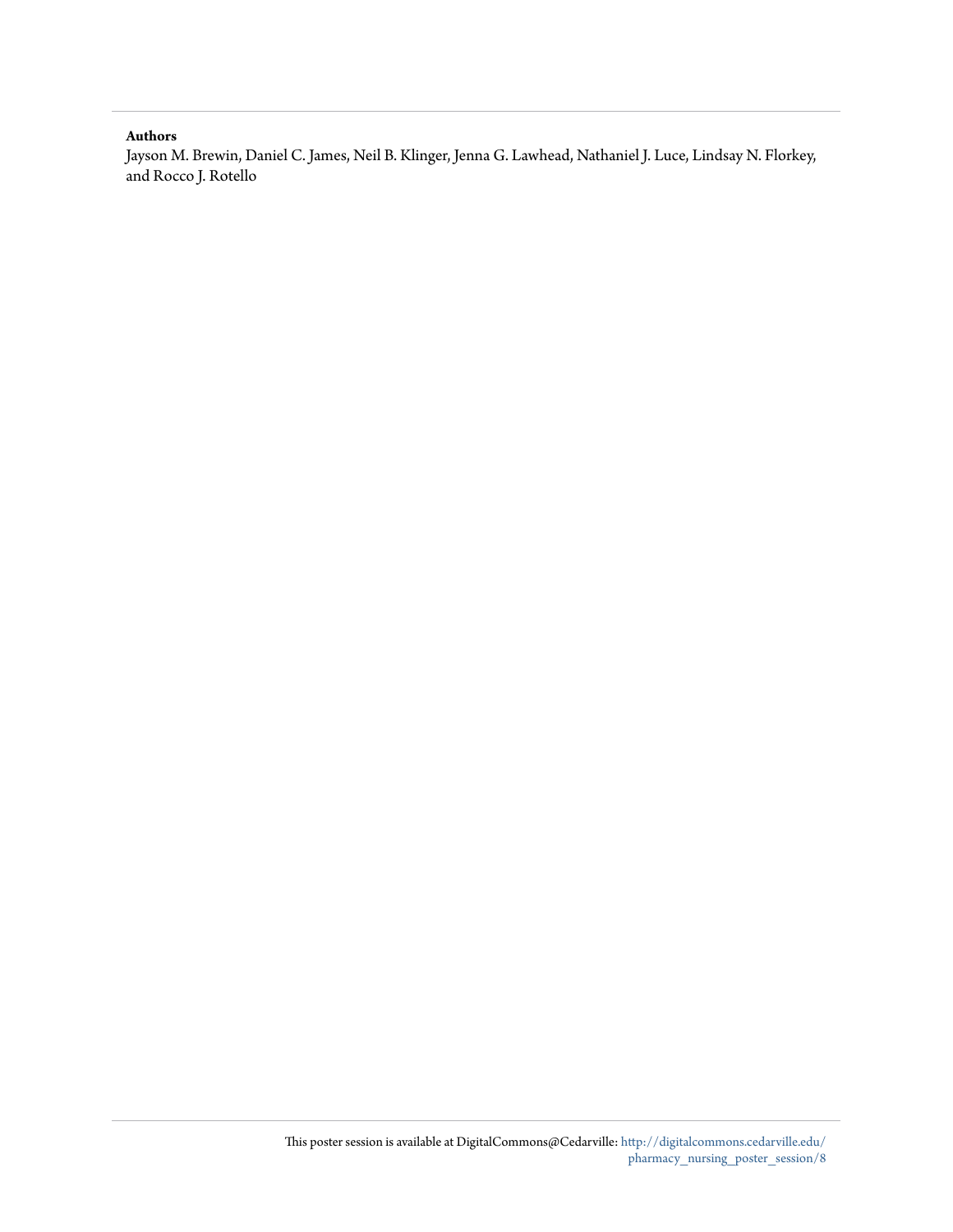#### **Authors**

Jayson M. Brewin, Daniel C. James, Neil B. Klinger, Jenna G. Lawhead, Nathaniel J. Luce, Lindsay N. Florkey, and Rocco J. Rotello